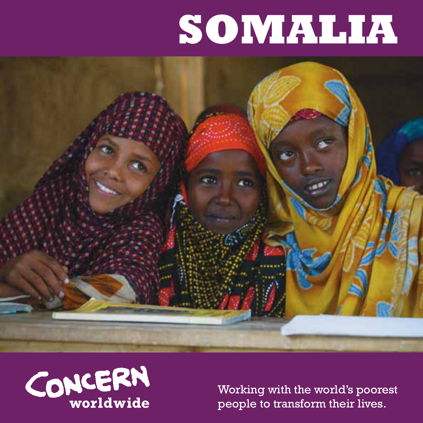# **Somalia**





Working with the world's poorest people to transform their lives.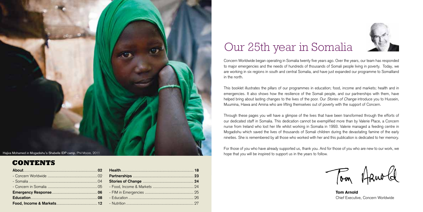

### **Contents**

## Our 25th year in Somalia

Concern Worldwide began operating in Somalia twenty five years ago. Over the years, our team has responded to major emergencies and the needs of hundreds of thousands of Somali people living in poverty. Today, we are working in six regions in south and central Somalia, and have just expanded our programme to Somaliland in the north.

This booklet illustrates the pillars of our programmes in education; food, income and markets; health and in emergencies. It also shows how the resilience of the Somali people, and our partnerships with them, have helped bring about lasting changes to the lives of the poor. Our *Stories of Change* introduce you to Hussein, Muumina, Hawa and Amina who are lifting themselves out of poverty with the support of Concern.

Through these pages you will have a glimpse of the lives that have been transformed through the efforts of our dedicated staff in Somalia. This dedication cannot be exemplified more than by Valerie Place, a Concern nurse from Ireland who lost her life whilst working in Somalia in 1993. Valerie managed a feeding centre in Mogadishu which saved the lives of thousands of Somali children during the devastating famine of the early nineties. She is remembered by all those who worked with her and this publication is dedicated to her memory.

For those of you who have already supported us, thank you. And for those of you who are new to our work, we hope that you will be inspired to support us in the years to follow.

Tom Arnold

Tom Arnold Chief Executive, Concern Worldwide

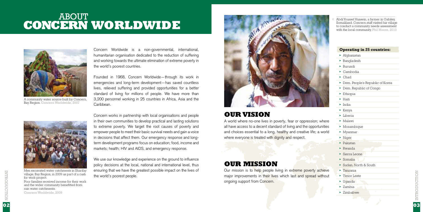## **CONCERN WORLDWIDE ABOUT**



A community water source built by Concern, Bay Region. Concern Worldwide, 2007

Concern Worldwide is a non-governmental, international, humanitarian organisation dedicated to the reduction of suffering and working towards the ultimate elimination of extreme poverty in the world's poorest countries.

Founded in 1968, Concern Worldwide—through its work in emergencies and long-term development—has saved countless lives, relieved suffering and provided opportunities for a better standard of living for millions of people. We have more than 3,200 personnel working in 25 countries in Africa, Asia and the Caribbean.



Men excavated water catchments in Sharifay village, Bay Region, in 2009 as part of a cash for work project.

Poor families received income for their work and the wider community benefitted from rain water catchments.

Concern Worldwide, 2009

Concern works in partnership with local organisations and people in their own communities to develop practical and lasting solutions to extreme poverty. We target the root causes of poverty and empower people to meet their basic survival needs and gain a voice in decisions that affect them. Our emergency response and longterm development programs focus on education; food, income and markets; health; HIV and AIDS, and emergency response.

We use our knowledge and experience on the ground to influence policy decisions at the local, national and international level, thus ensuring that we have the greatest possible impact on the lives of the world's poorest people.



### **Our Vision**

A world where no-one lives in poverty, fear or oppression; where all have access to a decent standard of living and the opportunities and choices essential to a long, healthy and creative life; a world where everyone is treated with dignity and respect.

### **Our Mission**

Our mission is to help people living in extreme poverty achieve major improvements in their lives which last and spread without ongoing support from Concern.

Abdi Youssef Hussein, a farmer in Gabiley, Somaliland. Concern staff visited his village

#### **Operating in 25 countries:**

- ➤ Afghanistan
- ➤ Bangladesh
- ➤ Burundi
- ➤ Cambodia
- ➤ Chad
- ➤ Dem. People's Republic of Korea
- ➤ Dem. Republic of Congo
- ➤ Ethiopia
- ➤ Haiti
- ➤ India
- ➤ Kenya
- ➤ Liberia
- ➤ Malawi
- ➤ Mozambique
- ➤ Myanmar
- ➤ Niger
- ➤ Pakistan
- ➤ Rwanda
- ➤ Sierra Leone
- ➤ Somalia
- ➤ Sudan, North & South
- ➤ Tanzania ➤ Timor Leste
- ➤ Uganda
- ➤ Zambia
- ➤ Zimbabwe

INCITOUCTION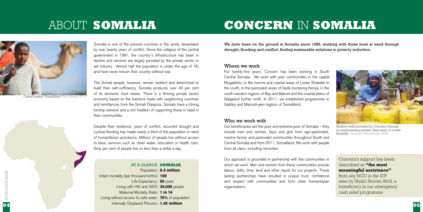## **Somalia** About

## **Concern** in **Somalia**



market, Somaliland. Phil Moore

Somalia is one of the poorest countries in the world, devastated by over twenty years of conflict. Since the collapse of the central government in 1991, the country's infrastructure has been in decline and services are largely provided by the private sector or aid industry. Almost half the population is under the age of 18, and have never known their country without war.

The Somali people, however, remain resilient and determined to build their self-sufficiency. Somalia produces over 40 per cent of its domestic food needs. There is a thriving private sector economy based on the livestock trade with neighboring countries and remittances from the Somali Diaspora. Somalis have a strong kinship network and a rich tradition of supporting those in need in their communities.

Despite their resilience, years of conflict, recurrent drought and cyclical flooding has made nearly a third of the population in need of humanitarian assistance. Millions of people live without access to basic services such as clean water, education or health care. Sixty per cent of people live on less than a dollar a day.

At a glance **Somalia** : Population : 9.3 million Infant mortality (per thousand births): 109 Life Expectancy : 50 years Living with HIV and AIDS: 34,000 people Maternal Mortality Ratio : **1 in 14** Living without access to safe water: 70% of population

Internally Displaced Persons: 1.42 million

We have been on the ground in Somalia since 1986, working with those most at need through drought, flooding and conflict, finding sustainable solutions to poverty reduction.

#### Where we work

For twenty-five years, Concern has been working in South Central Somalia. We work with poor communities in the capital Mogadishu; in the riverine and coastal areas of Lower Shabelle to the south; in the pastoralist areas of Gedo bordering Kenya; in the south-western regions of Bay and Bakool and the coastal plains of Galgadud further north. In 2011, we established programmes in Gabiley and Maroodi-jeex regions of Somaliland.

#### Who we work with

Our beneficiaries are the poor and extreme poor of Somalia – they include men and women, boys and girls from agri-pastoralist, riverine farmer and pastoralist communities throughout South and Central Somalia and from 2011, Somaliland. We work with people from all clans, including minorities.

Our approach is grounded in partnership with the communities in which we work. Men and women from these communities provide labour, skills, time, land and other inputs for our projects. These lasting partnerships have resulted in unique trust, confidence and respect with communities and from other humanitarian organisations.



Shallow wells provided by Concern, through an implementing partner, Bani'adam, in Lower Shabelle. Concern Worldwide, 2008

Concern's support has been described as **"the most meaningful assistance"**

from any NGO in the IDP area by Shukri Bootan Abdi, a beneficiary in our emergency cash relief programme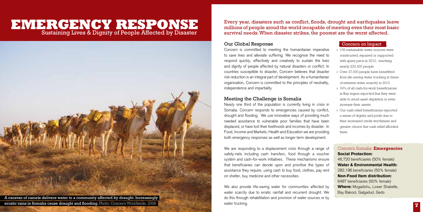### **EMERGENCY RESPONSE** Sustaining Lives & Dignity of People Affected by Disaster



Every year, disasters such as conflict, floods, drought and earthquakes leave millions of people aroud the world incapable of meeting even their most basic survival needs. When disaster strikes, the poorest are the worst affected.

#### Our Global Response

Concern is committed to meeting the humanitarian imperative to save lives and alleviate suffering. We recognise the need to respond quickly, effectively and creatively to sustain the lives and dignity of people affected by natural disasters or conflict. In countries susceptible to disaster, Concern believes that disaster risk reduction is an integral part of development. As a humanitarian organisation, Concern is committed to the principles of neutrality, independence and impartiality.

#### Meeting the Challenge in Somalia

Nearly one third of the population is currently living in crisis in Somalia. Concern responds to emergencies caused by conflict, drought and flooding. We use innovative ways of providing much needed assistance to vulnerable poor families that have been displaced, or have lost their livelihoods and incomes by disaster. In Food, Income and Markets; Health and Education we are providing both emergency responses as well as longer term development.

We are responding to a displacement crisis through a range of safety-nets including cash transfers, food through a voucher system and cash-for-work initiatives. These mechanisms ensure that beneficiaries can decide upon and prioritise the types of assistance they require, using cash to buy food, clothes, pay rent on shelter, buy medicine and other necessities.

We also provide life-saving water for communities affected by water scarcity due to erratic rainfall and recurrent drought. We do this through rehabilitation and provision of water sources or by water trucking.

#### Concern on Impact

- » 109 sustainable water sources were constructed, repaired or supported with spare parts in 2010, reaching nearly 230,300 people
- » Over 37,000 people have benefitted from life-saving water trucking in times of extreme water scarcity in 2010
- » 34% of all cash-for-work beneficiaries in Bay region reported that they were able to avoid asset depletion or even increase their assets
- » Our cash relief beneficiaries reported a sense of dignity and pride due to their increased credit-worthiness and greater choice that cash relief afforded them

#### Concern Somalia: **Emergencies** Social Protection:

46,720 beneficiaries (50% female) Water & Environmental Health: 282,196 beneficiaries (50% female) Non-Food Item distribution: 6487 beneficiaries (50% female) Where: Mogadishu, Lower Shabelle, Bay Bakool, Galgadud, Gedo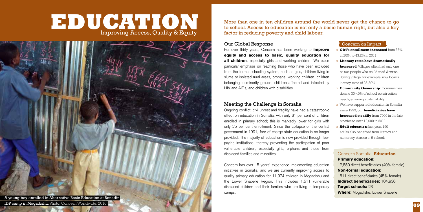## **to school. Access to education is not only a basic human right, but also a key Improving Access Quality & Equity** Improving Access, Quality & Equity



More than one in ten children around the world never get the chance to go factor in reducing poverty and child labour.

#### Our Global Response

For over thirty years, Concern has been working to *improve* equity and access to basic, quality education for all children, especially girls and working children. We place particular emphasis on reaching those who have been excluded from the formal schooling system, such as girls, children living in slums or isolated rural areas, orphans, working children, children belonging to minority groups, children affected and infected by HIV and AIDs, and children with disabilities.

#### Meeting the Challenge in Somalia

Ongoing conflict, civil unrest and fragility have had a catastrophic effect on education in Somalia, with only 31 per cent of children enrolled in primary school; this is markedly lower for girls with only 25 per cent enrollment. Since the collapse of the central government in 1991, free of charge state education is no longer provided. The majority of education is now provided through feepaying institutions, thereby preventing the participation of poor vulnerable children, especially girls, orphans and those from displaced families and minorities.

Concern has over 15 years' experience implementing education initiatives in Somalia, and we are currently improving access to quality primary education for 11,974 children in Mogadishu and the Lower Shabelle Region. This includes 1,511 vulnerable displaced children and their families who are living in temporary camps.

#### Concern on Impact

- » **Girl's enrollment increased** from 36% in 2004 to 43.2% in 2011
- » **Literacy rates have dramatically increased**. Villages often had only one or two people who could read & write. Towfiq village, for example, now boasts literacy rates of 25-30%
- » **Community Ownership**: Communities donate 30-40% of school construction needs, ensuring sustainability
- » We have supported education in Somalia since 1993, our **beneficiaries have increased steadily** from 7000 in the late nineties to over 12,000 in 2011
- » **Adult education**: last year, 190 adults also benefited from literacy and numeracy classes at 5 schools

#### Concern Somalia: **Education**

Primary education: 12,550 direct beneficiaries (40% female) Non-formal education: 1511 direct beneficiaries (45% female) Indirect beneficiaries: 104,936 Target schools: 23 Where: Mogadishu, Lower Shabelle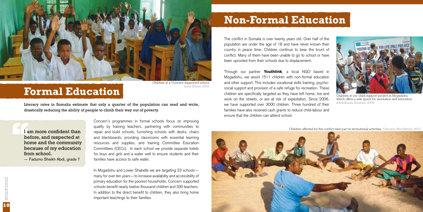

## **Formal Education**

Children at a Concern supported school Liam Burke, 2003

Literacy rates in Somalia estimate that only a quarter of the population can read and write, drastically reducing the ability of people to climb their way out of poverty.

I am more confident than<br>before, and respected at<br>home and the community<br>because of my education before, and respected at home and the community because of my education from school.

— Fadumo Sheikh Abdi, grade 7

Concern's programmes in formal schools focus on improving quality by training teachers, partnering with communities to repair and build schools; furnishing schools with desks, chairs and blackboards; providing classrooms with essential learning resources and supplies; and training Committee Education Committees (CECs). In each school we provide separate toilets for boys and girls and a water well to ensure students and their families have access to safe water.

In Mogadishu and Lower Shabelle we are targeting 23 schoolsmany for over ten years—to increase availability and accessibility of primary education for the poorest households. Concern supported schools benefit nearly twelve-thousand children and 330 teachers. In addition to the direct benefit to children, they also bring home important teachings to their families.

## **Non-Formal Education**

The conflict in Somalia is over twenty years old. Over half of the population are under the age of 18 and have never known their country in peace time. Children continue to bear the brunt of conflict. Many of them have been unable to go to school or have been uprooted from their schools due to displacement.

Through our partner **Youthlink**, a local NGO based in Mogadishu, we assist 1511 children with non-formal education and other support. This includes vocational skills training, psychosocial support and provision of a safe refuge for recreation. These children are specifically targeted as they have left home, live and work on the streets, or are at risk of exploitation. Since 2006, we have supported over 3000 children. Three hundred of their families have also received cash grants to reduce child-labour and ensure that the children can attend school.



Children at our child-support project in Mogadishu which offers a safe space for recreation and education. Abdulkadir Ibrahim, 2009

Children affected by the conflict take part in recreational activities. Concern Worldwide, 2007

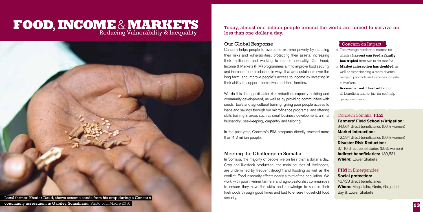### Reducing Vulnerability & Inequality **Food**,**Income**& **markets**



community assessment in Gabiley, Somaliland. Photo: Phil Moore 2010

Today, almost one billion people around the world are forced to survive on less than one dollar a day.

#### Our Global Response

Concern helps people to overcome extreme poverty by reducing their risks and vulnerabilities, protecting their assets, increasing their resilience, and working to reduce inequality. Our Food, Income & Markets (FIM) programmes aim to improve food security and increase food production in ways that are sustainable over the long term, and improve people's access to income by investing in their ability to support themselves and their families.

We do this through disaster risk reduction, capacity building and community development, as well as by providing communities with seeds, tools and agricultural training; giving poor people access to loans and savings through our microfinance programs; and offering skills training in areas such as small business development, animal husbandry, bee-keeping, carpentry and tailoring.

In the past year, Concern's FIM programs directly reached more than 4.2 million people.

#### Meeting the Challenge in Somalia

In Somalia, the majority of people live on less than a dollar a day. Crop and livestock production, the main sources of livelihoods, are undermined by frequent drought and flooding as well as the conflict. Food insecurity affects nearly a third of the population. We work with poor riverine farmers and agro-pastoralist communities to ensure they have the skills and knowledge to sustain their livelihoods through good times and bad to ensure household food security.

#### Concern on Impact

- » The average number of months for which a **harvest can feed a family has tripled** from two to six months
- » **Market interaction has doubled**, as well as experiencing a more diverse range of products and services for sale at markets
- » **Access to credit has trebled** for all beneficiaries, not just for self-help group members.

#### Concern Somalia: **FIM** Farmers' Field Schools/Irrigation: 34,061 direct beneficiaries (50% women) Market Interaction: 42,294 direct beneficiaries (50% women) Disaster Risk Reduction: 3,110 direct beneficiaries (50% women) Indirect beneficiaries: 139,631 Where: Lower Shabelle

### **FIM** in Emergencies

Social protection: 46,720 direct beneficiaries Where: Mogadishu, Gedo, Galgadud, Bay & Lower Shabelle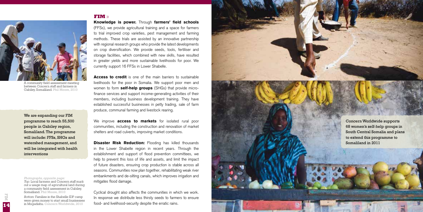#### **FIM** »



A community field assessment meeting between Concern staff and farmers in Gabiley, Somaliland. Phil Moore, 2010

We are expanding our FIM programme to reach 55,500 people in Gabiley region, Somaliland. The programme will include: FFSs, SH Gs and watershed management, and will be integrated with health interventions

#### *Photographs, opposite page:*

*Top:* Local farmers and Concern staff mark out a usage map of agricultural land during a community field assessment in Gabiley Somaliland. Phil Moore, 2010.

*Bottom:* Families in the Shabelle IDP camp were given money to start small businesses in Mogadishu. Concern Worldwide, 2010

Knowledge is power. Through farmers' field schools (FFSs), we provide agricultural training and a space for farmers to trial improved crop varieties, pest management and farming methods. These trials are assisted by an innovative partnership with regional research groups who provide the latest developments on crop diversification. We provide seeds, tools, fertiliser and storage facilities, which combined with new skills, have resulted in greater yields and more sustainable livelihoods for poor. We currently support 16 FFSs in Lower Shabelle.

Access to credit is one of the main barriers to sustainable livelihoods for the poor in Somalia. We support poor men and women to form **self-help groups** (SHGs) that provide microfinance services and support income-generating activities of their members, including business development training. They have established successful businesses in petty trading, sale of farm produce, communal farming and livestock rearing.

We improve **access to markets** for isolated rural poor communities, including the construction and renovation of market shelters and road culverts, improving market conditions.

**Disaster Risk Reduction:** Flooding has killed thousands in the Lower Shabelle region in recent years. Through the establishment and support of flood prevention committees, we help to prevent this loss of life and assets, and limit the impact of future disasters, ensuring crop production is stable across all seasons. Communities now plan together, rehabilitating weak river embankments and de-silting canals, which improves irrigation and mitigates flood damage.

Cyclical drought also affects the communities in which we work. In response we distribute less thirsty seeds to farmers to ensure food- and livelihood-security despite the erratic rains.



FIM

**15**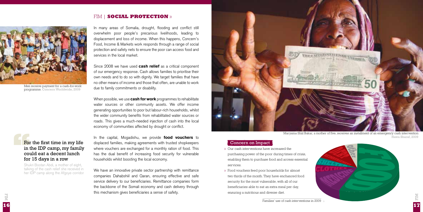#### FIM | **Social Protection** »



Men receive payment for a cash-for-work programme. Concern Worldwide, 2009

### **For the first time in my life<br>in the IDP camp, my family<br>could eat a decent lunch<br>for 15 days in a row** in the IDP camp, my family could eat a decent lunch for 15 days in a row

Shukri Bootan Abdi, a mother of eight, talking of the cash relief she received in her IDP camp along the Afgoye corridor

In many areas of Somalia, drought, flooding and conflict still overwhelm poor people's precarious livelihoods, leading to displacement and loss of income. When this happens, Concern's Food, Income & Markets work responds through a range of social protection and safety nets to ensure the poor can access food and services in the local market.

Since 2008 we have used **cash relief** as a critical component of our emergency response. Cash allows families to prioritise their own needs and to do so with dignity. We target families that have no other means of income and those that often, are unable to work due to family commitments or disability.

When possible, we use **cash for work** programmes to rehabilitate water sources or other community assets. We offer income generating opportunities to poor but labour-rich households, whilst the wider community benefits from rehabilitated water sources or roads. This gives a much-needed injection of cash into the local economy of communities affected by drought or conflict.

In the capital, Mogadishu, we provide **food vouchers** to displaced families, making agreements with trusted shopkeepers where vouchers are exchanged for a monthly ration of food. This has the dual benefit of increasing food security for vulnerable households whilst boosting the local economy.

We have an innovative private sector partnership with remittance companies Dahabshiil and Qaran, ensuring effective and safe service delivery to our beneficiaries. Remittance companies form the backbone of the Somali economy and cash delivery through this mechanism gives beneficiaries a sense of safety.



Maryama Shiil Bakar, a mother of five, receives an installment of an emergency cash intervention Hawa Sharaf, 2009

#### Concern on Impact

- » Our cash interventions have increased the purchasing power of the poor during times of crisis, enabling them to purchase food and access essential services.
- » Food vouchers feed poor households for almost two thirds of the month. They have enchanced food security for the most vulnerable, with all of our beneficiaries able to eat an extra meal per day, ensuring a nutritious and diverse diet.

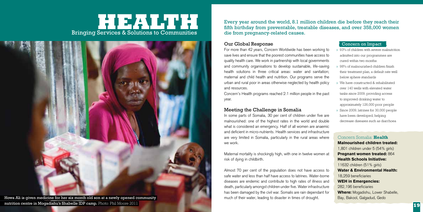### Bringing Services & Solutions to Communities Health **Market Street (1986) h**



Every year around the world, 8.1 million children die before they reach their fifth birthday from preventable, treatable diseases, and over 358,000 women die from pregnancy-related causes.

#### Our Global Response

For more than 42 years, Concern Worldwide has been working to save lives and ensure that the poorest communities have access to quality health care. We work in partnership with local governments and community organisations to develop sustainable, life-saving health solutions in three critical areas: water and sanitation: maternal and child health and nutrition. Our programs serve the urban and rural poor in areas otherwise neglected by health policy and resources.

Concern's Health programs reached 2.1 million people in the past year.

#### Meeting the Challenge in Somalia

In some parts of Somalia, 30 per cent of children under five are malnourished: one of the highest rates in the world and double what is considered an emergency. Half of all women are anaemic and deficient in micro-nutrients. Health services and infrastructure are very limited in Somalia, particularly in the rural areas where we work.

Maternal mortality is shockingly high, with one in twelve women at risk of dying in childbirth.

Almost 70 per cent of the population does not have access to safe water and less than half have access to latrines. Water-borne diseases are endemic and contribute to high rates of illness and death, particularly amongst children under five. Water infrastructure has been damaged by the civil war. Somalis are rain dependant for much of their water, leading to disaster in times of drought.

#### Concern on Impact

- » 93% of children with severe malnutrition admitted into our programmes are cured within two months.
- » 98% of malnourished children finish their treatment plan, a default rate well below sphere standards
- » We have constructed & rehabilitated over 140 wells with elevated water tanks since 2009, providing access to improved drinking water to approximately 126,000 poor people
- » Since 2009, latrines for 30,000 people have been developed, helping decrease diseases such as diarrhoea

Concern Somalia: **Health** Malnourished children treated: 1,801 children under 5 (54% girls) Pregnant women treated: 864 Health Schools Initiative: 11632 children (51% girls) Water & Environmental Health: 18,259 beneficiaries WEH in Emergencies: 282,196 beneficiaries Where: Mogadishu, Lower Shabelle, Bay, Bakool, Galgadud, Gedo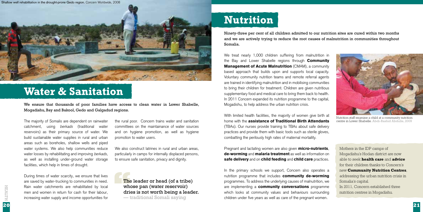

## **Water & Sanitation**

We ensure that thousands of poor families have access to clean water in Lower Shabelle, Mogadishu, Bay and Bakool, Gedo and Galgadud regions.

The majority of Somalis are dependent on rainwater catchment, using *berkads* (traditional water reservoirs) as their primary source of water. We build sustainable water supplies in rural and urban areas such as boreholes, shallow wells and piped water systems. We also help communities reduce water losses by rehabilitating and improving *berkads*, as well as installing under-ground water storage facilities, which help in times of drought.

During times of water scarcity, we ensure that lives are saved by water-trucking to communities in need. Rain water catchments are rehabilitated by local men and women in return for cash for their labour, increasing water supply and income opportunities for the rural poor. Concern trains water and sanitation committees on the maintainance of water sources and on hygiene promotion, as well as hygiene promotion to water users.

We also construct latrines in rural and urban areas, particularly in camps for internally displaced persons, to ensure safe sanitation, privacy and dignity.

**The leader or head (of a tribe)<br>
whose pan (water reservoir)<br>
dries is not worth being a leader.<br>
— traditional Somali saving** whose pan (water reservoir) — traditional Somali saying

## **Nutrition**

Ninety-three per cent of all children admitted to our nutrition sites are cured within two months and we are actively trying to reduce the root causes of malnutrition in communities throughout Somalia.

We treat nearly 1,000 children suffering from malnutrition in the Bay and Lower Shabelle regions through **Community** Management of Acute Malnutrition (CMAM), a community based approach that builds upon and supports local capacity. Voluntary community nutrition teams and remote referral agents are trained in identifying malnutrition and in mobilising communities to bring their children for treatment. Children are given nutritious supplementary food and medical care to bring them back to health. In 2011 Concern expanded its nutrition programme to the capital, Mogadishu, to help address the urban nutrition crisis.

With limited health facilities, the majority of women give birth at home with the assistance of Traditional Birth Attendants (TBAs). Our nurses provide training to TBAs about safe delivery practices and provide them with basic tools such as sterile gloves, combatting the perilously high rates of maternal mortaility.

Pregnant and lactating women are also given micro-nutrients, de-worming and malaria treatment as well as information on safe delivery and on child feeding and child care practices.

In the primary schools we support, Concern also operates a nutrition programme that includes community de-worming programmes. To address the underlying causes of malnutrition, we are implementing a community conversations programme which looks at community values and behaviours surrounding children under five years as well as care of the pregnant women.



Nutrition staff examine a child at a community nutrition centre in Lower Shabelle. Abdi-Rashid Abdulle, 2009

Mothers in the IDP camps of Mogadishu's Hodan district are now able to seek **health care** and **advice** for their children thanks to Concern's new **Community Nutrition Centres**, addressing the urban nutrition crisis in Somalia's capital. In 2011, Concern established three

nutrition centres in Mogadishu.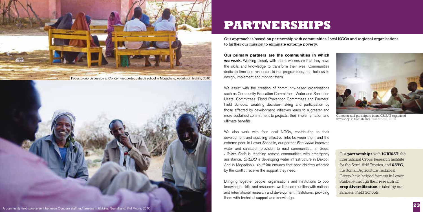

Focus group discussion at Concern-supported Jabuuti school in Mogadishu. Abdulkadir Ibrahim, 2010



## **Partnerships**

Our approach is based on partnership with communities, local NGOs and regional organisations to further our mission to eliminate extreme poverty.

Our primary partners are the communities in which we work. Working closely with them, we ensure that they have the skills and knowledge to transform their lives. Communities dedicate time and resources to our programmes, and help us to design, implement and monitor them.

We assist with the creation of community-based organisations such as Community Education Committees, Water and Sanitation Users' Committees, Flood Prevention Committees and Farmers' Field Schools. Enabling decision-making and participation by those affected by development initiatives leads to a greater and more sustained commitment to projects, their implementation and ultimate benefits.

We also work with four local NGOs, contributing to their development and assisting effective links between them and the extreme poor. In Lower Shabelle, our partner *Bani'adam* improves water and sanitation provision to rural communities. In Gedo, *Lifeline Gedo* is reaching remote communities with emergency assistance. *GREDO* is developing water infrastructure in Bakool. And in Mogadishu, *Youthlink* ensures that poor children affected by the conflict receive the support they need.

Bringing together people, organisations and institutions to pool knowledge, skills and resources, we link communities with national and international research and development institutions, providing them with technical support and knowledge.



Concern staff participate in an ICRISAT organised workshop in Somaliland. Phil Moore, 2010

Our **partnerships** with **ICRISAT**, the International Crops Research Institute for the Semi-Arid Tropics, and **SATG**, the Somali Agriculture Technical Group, have helped farmers in Lower Shabelle through their research on **crop diversification**, trialed by our Farmers' Field Schools.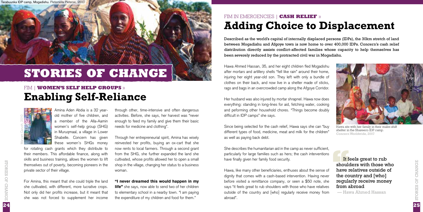# **Stories of Change**

## FIM | **Women's Self Help Groups** » **Enabling Self-Reliance**

Maryam Carush, 2010

Amina Aden Abdia is a 32 yearold mother of five children, and a member of the Alla-Aamin women's self-help group (SHG) in Muruqmaal, a village in Lower Shabelle. Concern has given these women's SHGs money

for rotating cash grants which they distribute to their members. This affordable finance, along with skills and business training, allows the women to lift themselves out of poverty, becoming pioneers in the private sector of their village.

For Amina, this meant that she could triple the land she cultivated, with different, more lucrative crops. Not only did her profits increase, but it meant that she was not forced to supplement her income

through other, time-intensive and often dangerous activities. Before, she says, her harvest was "never enough to feed my family and give them their basic needs for medicine and clothing".

Through her entrepreneurial spirit, Amina has wisely reinvested her profits, buying an ox-cart that she now rents to local farmers. Through a second grant from the SHG, she further expanded the land she cultivated, whose profits allowed her to open a small shop in the village, changing her status to a business woman.

#### "I never dreamed this would happen in my

**life"** she says, now able to send two of her children to elementary school in a nearby town. "I am paying the expenditure of my children and food for them."

### **Adding Choice to Displacement** FIM in Emergencies | **Cash Relief** »

Described as the world's capital of internally displaced persons (IDPs), the 30km stretch of land between Mogadishu and Afgoye town is now home to over 400,000 IDPs. Concern's cash relief distribution directly assists conflict-affected families whose capacity to help themselves has been severely reduced by the protracted civil war in Mogadishu.

Hawa Ahmed Hassan, 35, and her eight children fled Mogadishu after mortars and artillery shells "fell like rain" around their home, injuring her eight year-old son. They left with only a bundle of clothes on their back, and now live in a shelter made of sticks, rags and bags in an overcrowded camp along the Afgoye Corridor.

Her husband was also injured by mortar shrapnel. Hawa now does everything: standing in long-lines for aid, fetching water, cooking and peforming other household chores. "Things become doubly difficult in IDP camps" she says.

Since being selected for the cash relief, Hawa says she can "buy different types of food, medicine, meat and milk for the children" as well as paying back debt.

She describes the humanitarian aid in the camp as never sufficient, particularly for large families such as hers; the cash interventions have finally given her family food security.

Hawa, like many other beneficiaries, enthuses about the sense of dignity that comes with a cash-based intervention. Having never before visited a remittance company, or seen a \$50 note, she says "it feels great to rub shoulders with those who have relatives outside of the country and [who] regularly receive money from abroad".



Hawa sits with her family in their make-shift shelter in the Shareeco IDP camp. Concern Worldwide, 2007

It feels great to rub<br>shoulders with those w<br>have relatives outside of<br>the country and [who] shoulders with those who have relatives outside of the country and [who] regularly receive money from abroad

— Hawa Ahmed Hassan

**24**Stories of Change

CHANGE

 $\overline{24}$ 

 $\mathop{\bigcirc}_{\sqcap}$ 

STORIES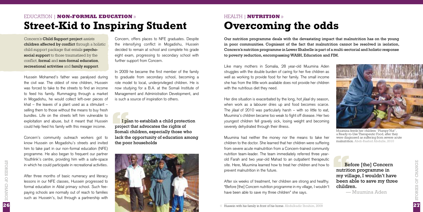### Education | **Non-Formal Education** » **Street-Kid to Inspiring Student**

Concern's Child Support project assists children affected by conflict through a holistic child support package that entails psychosocial support to those traumatised by the conflict, formal and non-formal education, recreational activities and family support.

Hussein Mohamed's father was paralysed during the civil war. The oldest of nine children, Hussein was forced to take to the streets to find an income to feed his family. Rummaging through a market in Mogadishu, he would collect left-over pieces of khat – the leaves of a plant used as a stimulant – selling them to those without the means to buy fresh bundles. Life on the streets left him vulnerable to exploitation and abuse, but it meant that Hussein could help feed his family with this meager income.

Concern's community outreach workers got to know Hussein on Mogadishu's streets and invited him to take part in our non-formal education (NFE) programme. He also began to frequent our partner Youthlink's centre, providing him with a safe-space in which he could participate in recreational activities.

After three months of basic numeracy and literacy lessons in our NFE classes, Hussein progressed to formal education in Ablal primary school. Such feepaying schools are normally out of reach to families such as Hussein's, but through a partnership with

**26**Stories of Change

26

STORIES OF CHANGE

Concern, offers places to NFE graduates. Despite the intensifying conflict in Mogadishu, Hussein decided to remain at school and complete his grade eight exam, progressing to secondary school with further support from Concern.

In 2009 he became the first member of the family to graduate from secondary school, becoming a role model to local, underprivileged children. He is now studying for a B.A. at the Somali Institute of Management and Administration Development, and is such a source of inspiration to others.

**I plan to establish a child protection**<br>project that advocates the rights of<br>Somali children, especially those who<br>lack the opportunity of education amone project that advocates the rights of Somali children, especially those who lack the opportunity of education among the poor households



## Health | **Nutrition** » **Overcoming the odds**

Our nutrition programme deals with the devastating impact that malnutrition has on the young in poor communities. Cognisant of the fact that malnutrition cannot be resolved in isolation, Concern's nutrition programme in Lower Shabelle is part of a multi-sectorial and holistic response to poverty reduction, encompassing WASH, Education and FIM.

Like many mothers in Somalia, 28 year-old Muumina Aden struggles with the double burden of caring for her five children as well as working to provide food for her family. The small income she has from the little work available does not provide her children with the nutritious diet they need.

Her dire situation is exacerbated by the long, hot *jilaal* dry season, when work as a labourer dries up and food becomes scarce. The *jilaal* of 2010 was particularly harsh – with so little to eat, Muumina's children became too weak to fight off disease. Her two youngest children fell gravely sick, losing weight and becoming severely dehydrated through their illness.

Muumina had neither the money nor the means to take her children to the doctor. She learned that her children were suffering from severe acute malnutrition from a Concern-trained community nutrition team-leader. The team immediately referred three yearold Farah and two year-old Mahad to an outpatient therapeutic site. Here, Muumina learned how to treat her children and how to prevent malnutrition in the future.

After six weeks of treatment, her children are strong and healthy. "Before [the] Concern nutrition programme in my village, I wouldn't have been able to save my three children" she says.



**Before [the] Concern<br>
nutrition programme in<br>
my village, I wouldn't have<br>
been able to save my three** nutrition programme in been able to save my three children.

— Muumina Aden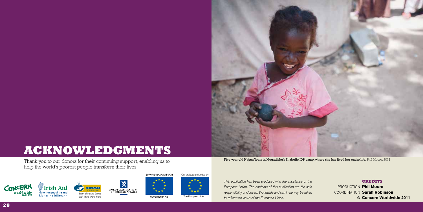

## **Acknowledgments**

Thank you to our donors for their continuing support, enabling us to **Example 19 amp, where she has lived her entire life.** Phil Moore, 2011 Thank you to our donors for their continuing support, enabling us to help the world's poorest people transform their lives.  $1$  1 1  $\alpha$  1





EUROPEAN COMMISSION





Our projects are funded by

The European Union Humanitarian Aid

*This publication has been produced with the assistance of the European Union. The contents of this publication are the sole responsibility of Concern Worldwide and can in no way be taken to reflect the views of the European Union.*

#### **Credits**

PRODUCTION Phil Moore COORDINATION Sarah Robinson Concern Worldwide 2011 ©